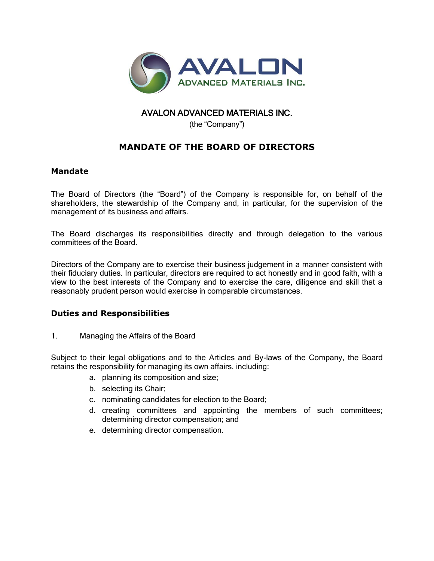

## AVALON ADVANCED MATERIALS INC.

(the "Company")

## **MANDATE OF THE BOARD OF DIRECTORS**

## **Mandate**

The Board of Directors (the "Board") of the Company is responsible for, on behalf of the shareholders, the stewardship of the Company and, in particular, for the supervision of the management of its business and affairs.

The Board discharges its responsibilities directly and through delegation to the various committees of the Board.

Directors of the Company are to exercise their business judgement in a manner consistent with their fiduciary duties. In particular, directors are required to act honestly and in good faith, with a view to the best interests of the Company and to exercise the care, diligence and skill that a reasonably prudent person would exercise in comparable circumstances.

## **Duties and Responsibilities**

1. Managing the Affairs of the Board

Subject to their legal obligations and to the Articles and By-laws of the Company, the Board retains the responsibility for managing its own affairs, including:

- a. planning its composition and size;
- b. selecting its Chair;
- c. nominating candidates for election to the Board;
- d. creating committees and appointing the members of such committees; determining director compensation; and
- e. determining director compensation.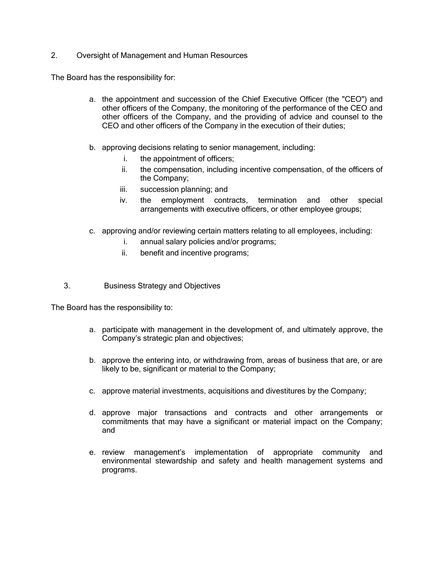2. Oversight of Management and Human Resources

The Board has the responsibility for:

- a. the appointment and succession of the Chief Executive Officer (the "CEO") and other officers of the Company, the monitoring of the performance of the CEO and other officers of the Company, and the providing of advice and counsel to the CEO and other officers of the Company in the execution of their duties;
- b. approving decisions relating to senior management, including:
	- i. the appointment of officers;
	- ii. the compensation, including incentive compensation, of the officers of the Company;
	- iii. succession planning; and
	- iv. the employment contracts, termination and other special arrangements with executive officers, or other employee groups;
- c. approving and/or reviewing certain matters relating to all employees, including:
	- i. annual salary policies and/or programs;
	- ii. benefit and incentive programs;
- 3. Business Strategy and Objectives

The Board has the responsibility to:

- a. participate with management in the development of, and ultimately approve, the Company's strategic plan and objectives;
- b. approve the entering into, or withdrawing from, areas of business that are, or are likely to be, significant or material to the Company;
- c. approve material investments, acquisitions and divestitures by the Company;
- d. approve major transactions and contracts and other arrangements or commitments that may have a significant or material impact on the Company; and
- e. review management's implementation of appropriate community and environmental stewardship and safety and health management systems and programs.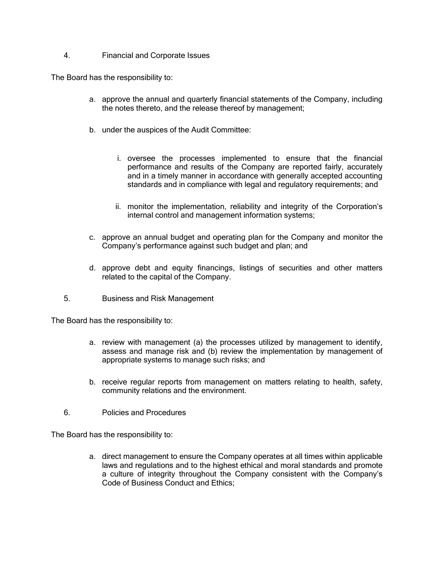4. Financial and Corporate Issues

The Board has the responsibility to:

- a. approve the annual and quarterly financial statements of the Company, including the notes thereto, and the release thereof by management;
- b. under the auspices of the Audit Committee:
	- i. oversee the processes implemented to ensure that the financial performance and results of the Company are reported fairly, accurately and in a timely manner in accordance with generally accepted accounting standards and in compliance with legal and regulatory requirements; and
	- ii. monitor the implementation, reliability and integrity of the Corporation's internal control and management information systems;
- c. approve an annual budget and operating plan for the Company and monitor the Company's performance against such budget and plan; and
- d. approve debt and equity financings, listings of securities and other matters related to the capital of the Company.
- 5. Business and Risk Management

The Board has the responsibility to:

- a. review with management (a) the processes utilized by management to identify, assess and manage risk and (b) review the implementation by management of appropriate systems to manage such risks; and
- b. receive regular reports from management on matters relating to health, safety, community relations and the environment.
- 6. Policies and Procedures

The Board has the responsibility to:

a. direct management to ensure the Company operates at all times within applicable laws and regulations and to the highest ethical and moral standards and promote a culture of integrity throughout the Company consistent with the Company's Code of Business Conduct and Ethics;